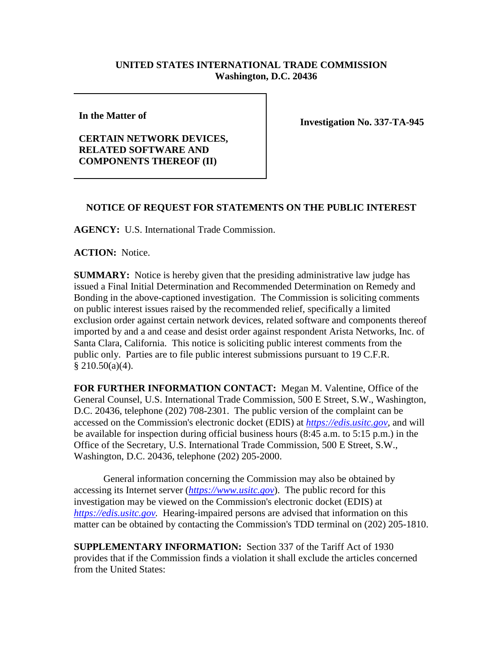## **UNITED STATES INTERNATIONAL TRADE COMMISSION Washington, D.C. 20436**

**In the Matter of** 

## **CERTAIN NETWORK DEVICES, RELATED SOFTWARE AND COMPONENTS THEREOF (II)**

**Investigation No. 337-TA-945**

## **NOTICE OF REQUEST FOR STATEMENTS ON THE PUBLIC INTEREST**

**AGENCY:** U.S. International Trade Commission.

**ACTION:** Notice.

**SUMMARY:** Notice is hereby given that the presiding administrative law judge has issued a Final Initial Determination and Recommended Determination on Remedy and Bonding in the above-captioned investigation. The Commission is soliciting comments on public interest issues raised by the recommended relief, specifically a limited exclusion order against certain network devices, related software and components thereof imported by and a and cease and desist order against respondent Arista Networks, Inc. of Santa Clara, California. This notice is soliciting public interest comments from the public only. Parties are to file public interest submissions pursuant to 19 C.F.R.  $$210.50(a)(4).$ 

**FOR FURTHER INFORMATION CONTACT:** Megan M. Valentine, Office of the General Counsel, U.S. International Trade Commission, 500 E Street, S.W., Washington, D.C. 20436, telephone (202) 708-2301. The public version of the complaint can be accessed on the Commission's electronic docket (EDIS) at *[https://edis.usitc.gov](https://edis.usitc.gov/)*, and will be available for inspection during official business hours (8:45 a.m. to 5:15 p.m.) in the Office of the Secretary, U.S. International Trade Commission, 500 E Street, S.W., Washington, D.C. 20436, telephone (202) 205-2000.

General information concerning the Commission may also be obtained by accessing its Internet server (*[https://www.usitc.gov](https://www.usitc.gov/)*). The public record for this investigation may be viewed on the Commission's electronic docket (EDIS) at *[https://edis.usitc.gov.](https://edis.usitc.gov/)* Hearing-impaired persons are advised that information on this matter can be obtained by contacting the Commission's TDD terminal on (202) 205-1810.

**SUPPLEMENTARY INFORMATION:** Section 337 of the Tariff Act of 1930 provides that if the Commission finds a violation it shall exclude the articles concerned from the United States: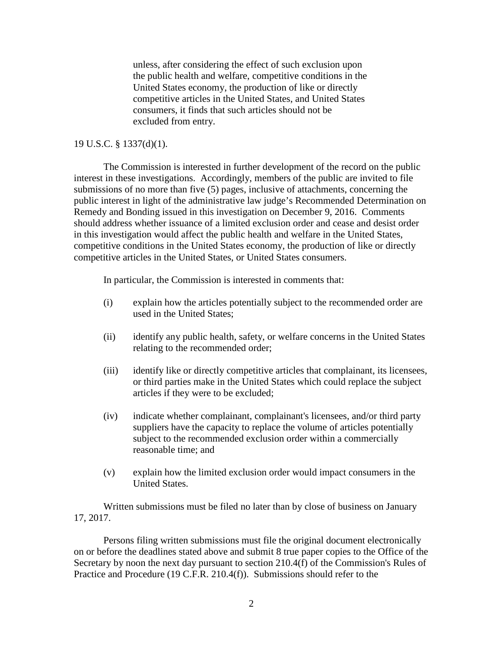unless, after considering the effect of such exclusion upon the public health and welfare, competitive conditions in the United States economy, the production of like or directly competitive articles in the United States, and United States consumers, it finds that such articles should not be excluded from entry.

## 19 U.S.C. § 1337(d)(1).

The Commission is interested in further development of the record on the public interest in these investigations. Accordingly, members of the public are invited to file submissions of no more than five (5) pages, inclusive of attachments, concerning the public interest in light of the administrative law judge's Recommended Determination on Remedy and Bonding issued in this investigation on December 9, 2016. Comments should address whether issuance of a limited exclusion order and cease and desist order in this investigation would affect the public health and welfare in the United States, competitive conditions in the United States economy, the production of like or directly competitive articles in the United States, or United States consumers.

In particular, the Commission is interested in comments that:

- (i) explain how the articles potentially subject to the recommended order are used in the United States;
- (ii) identify any public health, safety, or welfare concerns in the United States relating to the recommended order;
- (iii) identify like or directly competitive articles that complainant, its licensees, or third parties make in the United States which could replace the subject articles if they were to be excluded;
- (iv) indicate whether complainant, complainant's licensees, and/or third party suppliers have the capacity to replace the volume of articles potentially subject to the recommended exclusion order within a commercially reasonable time; and
- (v) explain how the limited exclusion order would impact consumers in the United States.

Written submissions must be filed no later than by close of business on January 17, 2017.

Persons filing written submissions must file the original document electronically on or before the deadlines stated above and submit 8 true paper copies to the Office of the Secretary by noon the next day pursuant to section 210.4(f) of the Commission's Rules of Practice and Procedure (19 C.F.R. 210.4(f)). Submissions should refer to the